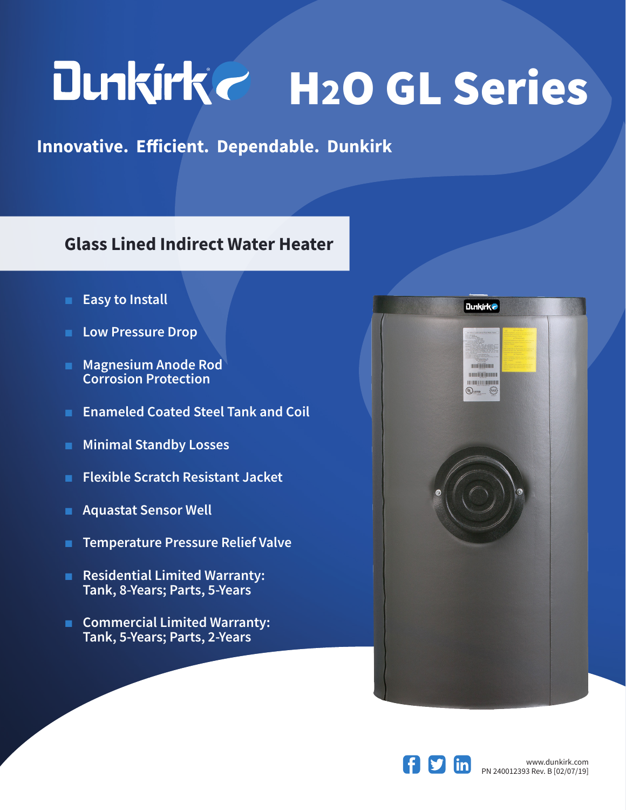## Dunkirk H2O GL Series

**Innovative. Efficient. Dependable. Dunkirk**

## **Glass Lined Indirect Water Heater**

- **Easy to Install**
- **Low Pressure Drop**
- **Magnesium Anode Rod Corrosion Protection**
- **Enameled Coated Steel Tank and Coil**
- **Minimal Standby Losses**
- **Flexible Scratch Resistant Jacket**
- **Aquastat Sensor Well**
- **Temperature Pressure Relief Valve**
- **Residential Limited Warranty: Tank, 8-Years; Parts, 5-Years**
- **Commercial Limited Warranty: Tank, 5-Years; Parts, 2-Years**